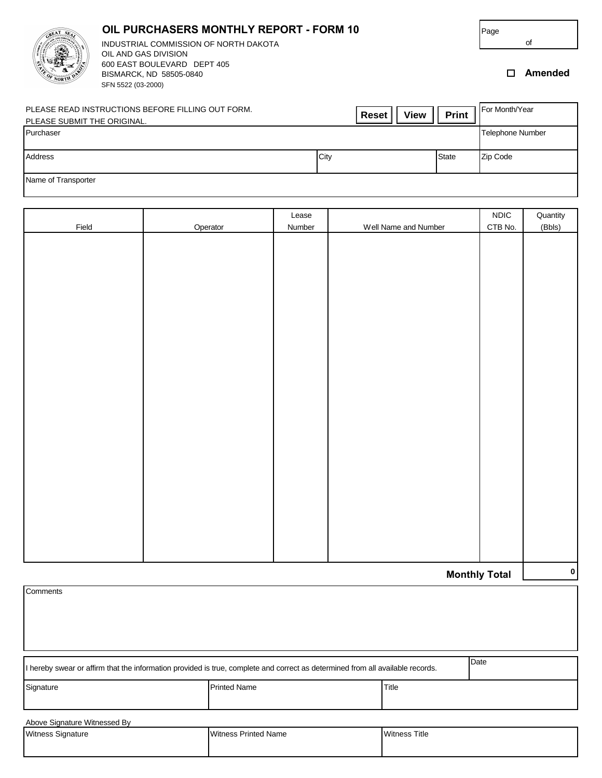| Page |  |
|------|--|
|      |  |



BISMARCK, ND 58505-0840 **Amended** SFN 5522 (03-2000) **OIL PURCHASERS MONTHLY REPORT - FORM 10** INDUSTRIAL COMMISSION OF NORTH DAKOTA OIL AND GAS DIVISION 600 EAST BOULEVARD DEPT 405

of

| PLEASE READ INSTRUCTIONS BEFORE FILLING OUT FORM.<br>PLEASE SUBMIT THE ORIGINAL. | <b>View</b><br><b>Reset</b> | <b>Print</b> | I For Month/Year |
|----------------------------------------------------------------------------------|-----------------------------|--------------|------------------|
| Purchaser                                                                        |                             |              | Telephone Number |
| Address                                                                          | City                        | <b>State</b> | <b>Zip Code</b>  |
| Name of Transporter                                                              |                             |              |                  |

|                      |          | Lease  |                      | $\sf NDIC$ | Quantity |  |
|----------------------|----------|--------|----------------------|------------|----------|--|
| Field                | Operator | Number | Well Name and Number | CTB No.    | (Bbls)   |  |
|                      |          |        |                      |            |          |  |
|                      |          |        |                      |            |          |  |
|                      |          |        |                      |            |          |  |
|                      |          |        |                      |            |          |  |
|                      |          |        |                      |            |          |  |
|                      |          |        |                      |            |          |  |
|                      |          |        |                      |            |          |  |
|                      |          |        |                      |            |          |  |
|                      |          |        |                      |            |          |  |
|                      |          |        |                      |            |          |  |
|                      |          |        |                      |            |          |  |
|                      |          |        |                      |            |          |  |
|                      |          |        |                      |            |          |  |
|                      |          |        |                      |            |          |  |
|                      |          |        |                      |            |          |  |
|                      |          |        |                      |            |          |  |
|                      |          |        |                      |            |          |  |
|                      |          |        |                      |            |          |  |
|                      |          |        |                      |            |          |  |
|                      |          |        |                      |            |          |  |
|                      |          |        |                      |            |          |  |
|                      |          |        |                      |            |          |  |
|                      |          |        |                      |            |          |  |
|                      |          |        |                      |            |          |  |
|                      |          |        |                      |            |          |  |
|                      |          |        |                      |            |          |  |
|                      |          |        |                      |            |          |  |
| $\mathbf{0}$         |          |        |                      |            |          |  |
| <b>Monthly Total</b> |          |        |                      |            |          |  |
| Comments             |          |        |                      |            |          |  |
|                      |          |        |                      |            |          |  |
|                      |          |        |                      |            |          |  |

| If hereby swear or affirm that the information provided is true, complete and correct as determined from all available records. | Date                |       |  |  |  |  |
|---------------------------------------------------------------------------------------------------------------------------------|---------------------|-------|--|--|--|--|
| Signature                                                                                                                       | <b>Printed Name</b> | Title |  |  |  |  |
| Above Signature Witnessed By<br><b>Witness Signature</b><br><b>Witness Printed Name</b><br>Witness Title                        |                     |       |  |  |  |  |